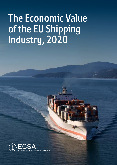# **The Economic Value of the EU Shipping Industry, 2020**

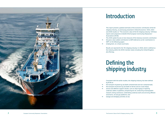

# **Introduction**

This report presents updated estimates of the economic contribution of the EU shipping industry, as previously presented in Oxford Economics' 2014, 2015 and 2018 studies on "The economic value of the EU shipping industry". All these reports were prepared on behalf of the European Community Shipowners' Associations (ECSA).

This 2020 update focuses on two measures of the industry's economic contribution: **→** the gross value-added contribution to GDP (referred to as the 'contribution to

- GDP' on the following pages).
- **→** employment, on a head count basis.

Results are reported for the 'EU shipping industry' in 2018, which is defined as the industry within the 28 EU member states including the United Kingdom, plus Norway.

## **Defining the shipping industry**

Consistent with the earlier studies, the shipping industry has been defined by ECSA as:

**→** the transport of goods by sea (both containerised and non-containerised); **→** the transport of persons by sea (both on ferries and on cruise ships); **→** service and offshore support vessels, such as ships laying or repairing undersea cables or pipelines; prospecting for oil; conducting oceanographic research; diving assistance; undertaking undersea work and servicing offshore

- 
- 
- wind farms, oil and gas platforms; and
- **→** towage and dredging activities at sea.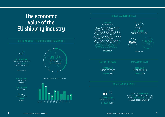### **The economic value of the EU shipping industry**

#### **THE EU CONTROLLED SHIPPING FLEET IN NUMBERS**

**TOTAL ECONOMIC IMPACT**



**€57 BILLION** CONTRIBUTION TO GDP

**685,000** PFOPLE EMPLOYED



**780,000** JOBS

**€38 BILLION** CONTRIBUTION TO GDP

**540,000** JOBS

FOR EVERY **€1 MILLION** OF GDP THE SHIPPING INDUSTRY CREATES. ANOTHER **€1.8 MILLION** IS CREATED ELSEWHERE IN THE EU ECONOMY

LAND-BASED JOBS



GDP PER WORKER

#### **€54 BILLION** CONTRIBUTION TO EU GDP

### **INDIRECT IMPACTS INDUCED IMPACTS**

**€149 BILLION** CONTRIBUTION TO EU GDP

**2 MILLION** JOBS

### **DIRECT ECONOMIC IMPACT**

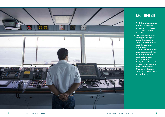

### **Key Findings**

- → **The EU shipping industry directly employed 685,000 people and supported a contribution to GDP of nearly €54 billion during 2018**
- → **Once supply chain and worker spending multiplier impacts are taken into account, the shipping industry's employment contribution rises to over 2.0 million jobs**
- → **The total GDP contribution of the industry, including supply chain and worker spending impacts, is estimated to have been €149 billion in 2018**
- → **At €78,000 per worker in 2018, productivity in the EU shipping industry remains above the EU average, as well as that of sectors such as business services and manufacturing**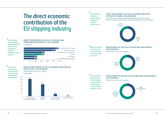## **The direct economic contribution of the EU shipping industry**

#### **DIRECT EMPLOYMENT IN THE EU: SHIPPING AND COMPARATOR INDUSTRIES, 2018 AVERAGE**

in thousands

↘

The EU shipping industry directly employed 685,000 people in 2018, more than air transport or information service activities

#### ↘ The majority (53 percent) of workers in the EU shipping industry are employed in freight transport

#### **TOTAL EMPLOYMENT IN THE EU SHIPPING INDUSTRY\* BY PLACE OF WORK, 2018 AVERAGE**

\* Sea and coastal passenger and freight shipping plus offshore support. Rental & leasing of water transport equipment employment is excluded here



positions at sea

↘

Officers account for an estimated 38 per cent of postions at sea, and ratings 62 per cent

↘ Around 210,000 of the estimated 555,000 seafarers on ships operating in the EU would have been EU/EEA nationals in 2018



345,000 Ratings 62%







#### **DIRECT EMPLOYMENT IN THE EU SHIPPING INDUSTRY BY SUB SECTOR, 2018 AVERAGE**

Totals may not sum due to rounding in thousands



#### **EMPLOYMENT AT SEA SPLIT BY OFFICERS AND RATINGS,**

### **2018 AVERAGE**

Totals may not sum due to rounding

#### **EMPLOYMENT AT SEA SPLIT BY EU AND NON-EU NATIONALS, 2018 AVERAGE**

Totals may not sum due to rounding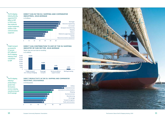#### **DIRECT GVA IN THE EU: SHIPPING AND COMPARATOR INDUSTRIES, 2018 AVERAGE** in € billions

#### **DIRECT GVA CONTRIBUTION TO GDP OF THE EU SHIPPING INDUSTRY BY SUB-SECTOR, 2018 AVERAGE**

Totals may not sum due to rounding in € millions

#### **DIRECT PRODUCTIVITY IN THE EU: SHIPPING AND COMPARATOR INDUSTRIES, 2018 AVERAGE**

in € thousands

↘ Freight transport accounted for 57 percent (€31 billion) of the EU shipping industry's total contribution to GDP

↘ The EU shipping industry's productivity is greater than the business services industry, manufacturing and the EU average









↘ The EU shipping industry directly supported €54 billion to GDP in 2018, more than medical & surgical equipment, textiles or telecommunications equipment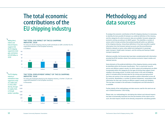## **Methodology and data sources**

To analyse the economic contribution of the EU shipping industry it is necessary to identify the best possible fit between our preferred definition of the industry, and the categories for which economic data are available. Eurostat categorises economic activity according to its NACE system. This identifies a number of sectors which include activities that predominantly fall within our definition of the shipping industry. Using these definitions it has been possible to gather information from the Eurostat national accounts and Structural Business Statistics datasets on gross value added and employment in passenger water transport, freight water transport, and the renting and leasing of water transport equipment.

Wherever possible, the Eurostat data have been complemented with information provided by ECSA members drawn from previous economic impact studies and national sources.

Some elements of the preferred definition of the shipping industry cannot easily be identified within the Eurostat classification. This is a particular issue for service and offshore support vessels, for which output and employment are often incorporated within the categories for the type of activity they support (most notably in the energy sector). A similar issue arises in the case of dredging, which is included within Eurostat data for the mining and quarrying sector. For these sub-sectors it has not been possible to obtain information across all EU countries. Nonetheless, a number of national shipowners' associations hold information for their own country on offshore support vessels and dredging. This has been included in the estimates of employment and GVA wherever it is available.

Further details of the methodology and data sources used for this work are set out in Oxford Economics' 2014 study.

Please note, our methodology for calculating the indirect and induced impacts has been incrementally improved since the last iteration of this report and as such, the total impacts should not be directly compared for calculating growth.

## **The total economic contributions of the EU shipping industry**

#### **THE TOTAL GVA IMPACT OF THE EU SHIPPING INDUSTRY, 2018**

For every €1 the EU shipping industry itself contributes to GDP, a further €1.8 is supported elsewhere in the European economy

#### **THE TOTAL EMPLOYMENT IMPACT OF THE EU SHIPPING INDUSTRY, 2018**

For every job employed directly by the shipping industry, a further 1.9 jobs are supported elsewhere in the European economy in thousands

#### ↘ Adding direct, indirect and induced impacts suggests that the EU shipping supported a total gdp contribution of €149 billion in 2018



↘

The EU shipping industru is estimated to have supported a total of 2 million jobs in 2018, either directlu, through its supply chain, or through workers' spending

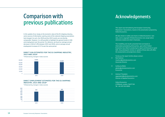### **Comparison with previous publications**

In this update of our study on the economic value of the EU shipping industry, some sources of information used by some of the national shipping associations had changed. As such, the 2018 and the 2015 results are not directly comparable. However, it is still possible to highlight the general trends in GVA and employment over the period. For reference, we found an average annual decrease in GVA of 1.8% between 2015 and 2018, and an average annual employment increase of 2.5 % over the same period.

#### **DIRECT GVA ESTIMATES FOR THE EU SHIPPING INDUSTRY, 2015 AND 2018\***

\*Influenced by changes in data sources

#### **DIRECT EMPLOYMENT ESTIMATES FOR THE EU SHIPPING INDUSTRY, 2015 AND 2018\***

\*Influenced by changes in data sources

### **Acknowledgements**

This report was formatted by the European Community Shipowners' Associations, based on the presentation prepared by Oxford Economics.

All data shown in tables and charts is Oxford Economics' own data, and is copyright ©Oxford Economics Ltd, except where otherwise stated and cited in footnotes.

The modelling and results presented here are based on information provided by third parties, upon which Oxford Economics has relied in producing its report and forecasts in good faith. Any subsequent revision or update of those data will affect the assessments and projections shown.

To discuss the report further please contact:

**→** Rob Harbron rharbron@oxfordeconomics.com Associate Director

**→** Guillaume Bieler gbieler@oxfordeconomics.com Economist

**→** Andrew P Goodwin apgoodwin@oxfordeconomics.com Director of Applied Economics

> Oxford Economics 4 Millbank, London, SW1P 3JA Tel: +44 203 910 8000